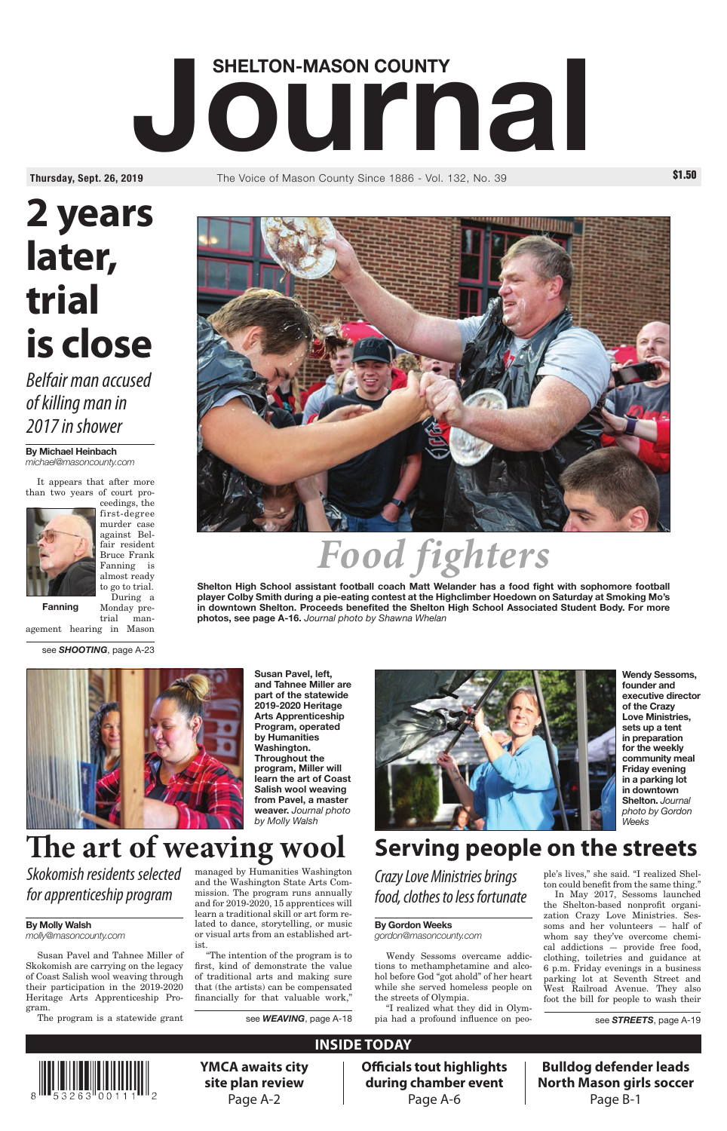# **SHELTON-MASON COUNTY**

**Thursday, Sept. 26, 2019** The Voice of Mason County Since 1886 - Vol. 132, No. 39 **\$1.50** 

**YMCA awaits city site plan review** Page A-2

**Bulldog defender leads North Mason girls soccer** Page B-1

**Officials tout highlights during chamber event** Page A-6

### **INSIDE TODAY**



**Shelton High School assistant football coach Matt Welander has a food fight with sophomore football player Colby Smith during a pie-eating contest at the Highclimber Hoedown on Saturday at Smoking Mo's in downtown Shelton. Proceeds benefited the Shelton High School Associated Student Body. For more photos, see page A-16.** *Journal photo by Shawna Whelan*



# *Food fighters*

**By Michael Heinbach** *[michael@masoncounty.com](mailto:michael@masoncounty.com)*

It appears that after more than two years of court pro-



ceedings, the first-degree murder case against Belfair resident Bruce Frank Fanning is almost ready to go to trial. During a

> Monday pretrial man-

agement hearing in Mason

# **2 years later, trial is close**

*Belfair man accused of killing man in 2017 in shower*

**Fanning**

### see *SHOOTING*, page A-23



### **By Molly Walsh** *[molly@masoncounty.com](mailto:molly@masoncounty.com)*

Susan Pavel and Tahnee Miller of Skokomish are carrying on the legacy of Coast Salish wool weaving through their participation in the 2019-2020 Heritage Arts Apprenticeship Program.

The program is a statewide grant

managed by Humanities Washington and the Washington State Arts Commission. The program runs annually and for 2019-2020, 15 apprentices will learn a traditional skill or art form related to dance, storytelling, or music or visual arts from an established artist.

"The intention of the program is to first, kind of demonstrate the value of traditional arts and making sure that (the artists) can be compensated financially for that valuable work,"

### **By Gordon Weeks** *[gordon@masoncounty.com](mailto:gordon@masoncounty.com)*

Wendy Sessoms overcame addictions to methamphetamine and alcohol before God "got ahold" of her heart while she served homeless people on the streets of Olympia.

"I realized what they did in Olympia had a profound influence on people's lives," she said. "I realized Shelton could benefit from the same thing."

In May 2017, Sessoms launched the Shelton-based nonprofit organization Crazy Love Ministries. Sessoms and her volunteers — half of whom say they've overcome chemical addictions — provide free food, clothing, toiletries and guidance at 6 p.m. Friday evenings in a business parking lot at Seventh Street and West Railroad Avenue. They also foot the bill for people to wash their

**Susan Pavel, left, and Tahnee Miller are part of the statewide 2019-2020 Heritage Arts Apprenticeship Program, operated by Humanities Washington. Throughout the program, Miller will learn the art of Coast Salish wool weaving from Pavel, a master weaver.** *Journal photo by Molly Walsh*

# **The art of weaving wool**

*Skokomish residents selected for apprenticeship program*

see *WEAVING*[, page A-18](#page-1-0)



**Wendy Sessoms, founder and executive director of the Crazy Love Ministries, sets up a tent in preparation for the weekly community meal Friday evening in a parking lot in downtown Shelton.** *Journal photo by Gordon Weeks*

## **Serving people on the streets**

### *Crazy Love Ministries brings food, clothes to less fortunate*

see *STREETS*, page A-19